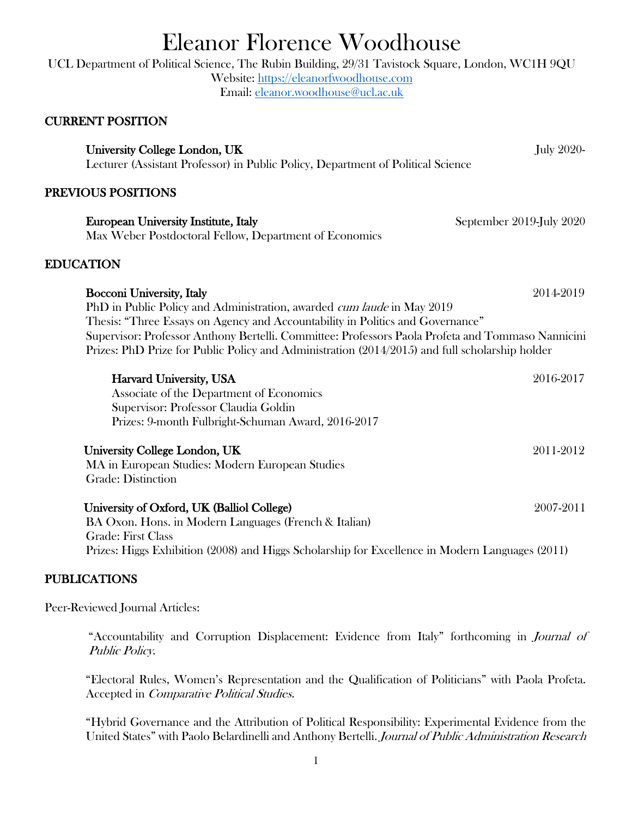# Eleanor Florence Woodhouse

UCL Department of Political Science, The Rubin Building, 29/31 Tavistock Square, London, WC1H 9QU Website: https://eleanorfwoodhouse.com Email: eleanor.woodhouse@ucl.ac.uk

# CURRENT POSITION

University College London, UK July 2020-Lecturer (Assistant Professor) in Public Policy, Department of Political Science

### PREVIOUS POSITIONS

| European University Institute, Italy                   | September 2019-July 2020 |
|--------------------------------------------------------|--------------------------|
| Max Weber Postdoctoral Fellow, Department of Economics |                          |

## EDUCATION

| Bocconi University, Italy                                                                         | 2014-2019 |
|---------------------------------------------------------------------------------------------------|-----------|
| PhD in Public Policy and Administration, awarded <i>cum laude</i> in May 2019                     |           |
| Thesis: "Three Essays on Agency and Accountability in Politics and Governance"                    |           |
| Supervisor: Professor Anthony Bertelli. Committee: Professors Paola Profeta and Tommaso Nannicini |           |
| Prizes: PhD Prize for Public Policy and Administration (2014/2015) and full scholarship holder    |           |
|                                                                                                   |           |

| Harvard University, USA<br>Associate of the Department of Economics<br>Supervisor: Professor Claudia Goldin | 2016-2017 |
|-------------------------------------------------------------------------------------------------------------|-----------|
|                                                                                                             |           |
|                                                                                                             |           |
| Prizes: 9-month Fulbright-Schuman Award, 2016-2017                                                          |           |
| University College London, UK                                                                               | 2011-2012 |
| MA in European Studies: Modern European Studies                                                             |           |
| Grade: Distinction                                                                                          |           |
| University of Oxford, UK (Balliol College)                                                                  | 2007-2011 |
| BA Oxon. Hons. in Modern Languages (French & Italian)                                                       |           |
| Grade: First Class                                                                                          |           |
| Prizes: Higgs Exhibition (2008) and Higgs Scholarship for Excellence in Modern Languages (2011)             |           |

## PUBLICATIONS

Peer-Reviewed Journal Articles:

"Accountability and Corruption Displacement: Evidence from Italy" forthcoming in Journal of Public Policy.

"Electoral Rules, Women's Representation and the Qualification of Politicians" with Paola Profeta. Accepted in Comparative Political Studies.

"Hybrid Governance and the Attribution of Political Responsibility: Experimental Evidence from the United States" with Paolo Belardinelli and Anthony Bertelli. Journal of Public Administration Research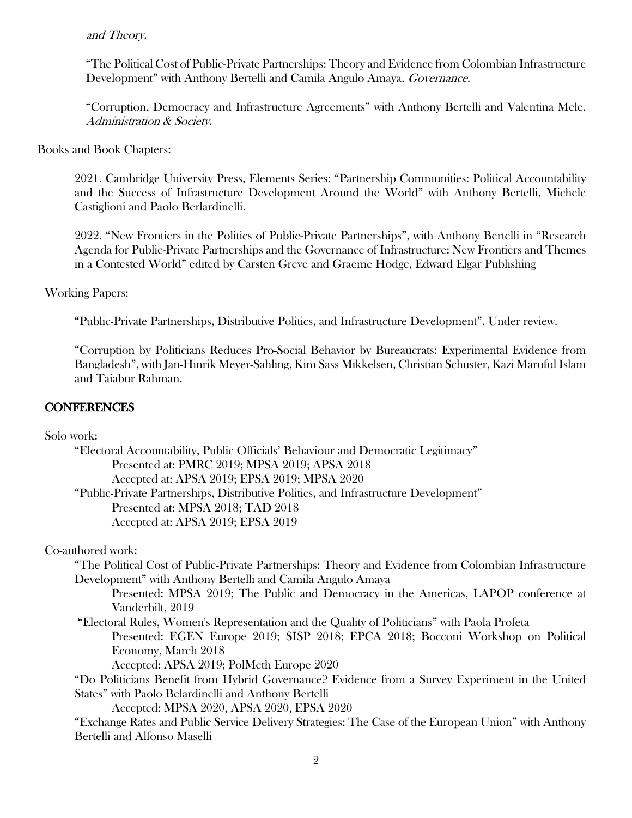#### and Theory.

"The Political Cost of Public-Private Partnerships: Theory and Evidence from Colombian Infrastructure Development" with Anthony Bertelli and Camila Angulo Amaya. Governance.

"Corruption, Democracy and Infrastructure Agreements" with Anthony Bertelli and Valentina Mele. Administration & Society.

#### Books and Book Chapters:

2021. Cambridge University Press, Elements Series: "Partnership Communities: Political Accountability and the Success of Infrastructure Development Around the World" with Anthony Bertelli, Michele Castiglioni and Paolo Berlardinelli.

2022. "New Frontiers in the Politics of Public-Private Partnerships", with Anthony Bertelli in "Research Agenda for Public-Private Partnerships and the Governance of Infrastructure: New Frontiers and Themes in a Contested World" edited by Carsten Greve and Graeme Hodge, Edward Elgar Publishing

#### Working Papers:

"Public-Private Partnerships, Distributive Politics, and Infrastructure Development". Under review.

"Corruption by Politicians Reduces Pro-Social Behavior by Bureaucrats: Experimental Evidence from Bangladesh", with Jan-Hinrik Meyer-Sahling, Kim Sass Mikkelsen, Christian Schuster, Kazi Maruful Islam and Taiabur Rahman.

#### **CONFERENCES**

Solo work:

| "Electoral Accountability, Public Officials' Behaviour and Democratic Legitimacy"<br>Presented at: PMRC 2019; MPSA 2019; APSA 2018 |
|------------------------------------------------------------------------------------------------------------------------------------|
| Accepted at: APSA 2019; EPSA 2019; MPSA 2020                                                                                       |
| "Public-Private Partnerships, Distributive Politics, and Infrastructure Development"                                               |
| Presented at: MPSA 2018; TAD 2018                                                                                                  |
|                                                                                                                                    |
| Accepted at: APSA 2019; EPSA 2019                                                                                                  |
| Co-authored work:                                                                                                                  |
| "The Political Cost of Public-Private Partnerships: Theory and Evidence from Colombian Infrastructure                              |
| Development" with Anthony Bertelli and Camila Angulo Amaya                                                                         |
| Presented: MPSA 2019; The Public and Democracy in the Americas, LAPOP conference at                                                |
| Vanderbilt, 2019                                                                                                                   |
| "Electoral Rules, Women's Representation and the Quality of Politicians" with Paola Profeta                                        |
| Presented: EGEN Europe 2019; SISP 2018; EPCA 2018; Bocconi Workshop on Political                                                   |
| Economy, March 2018                                                                                                                |
| Accepted: APSA 2019; PolMeth Europe 2020                                                                                           |
| "Do Politicians Benefit from Hybrid Governance? Evidence from a Survey Experiment in the United                                    |
| States" with Paolo Belardinelli and Anthony Bertelli                                                                               |
| Accepted: MPSA 2020, APSA 2020, EPSA 2020                                                                                          |
| "Exchange Rates and Public Service Delivery Strategies: The Case of the European Union" with Anthony                               |
| Bertelli and Alfonso Maselli                                                                                                       |